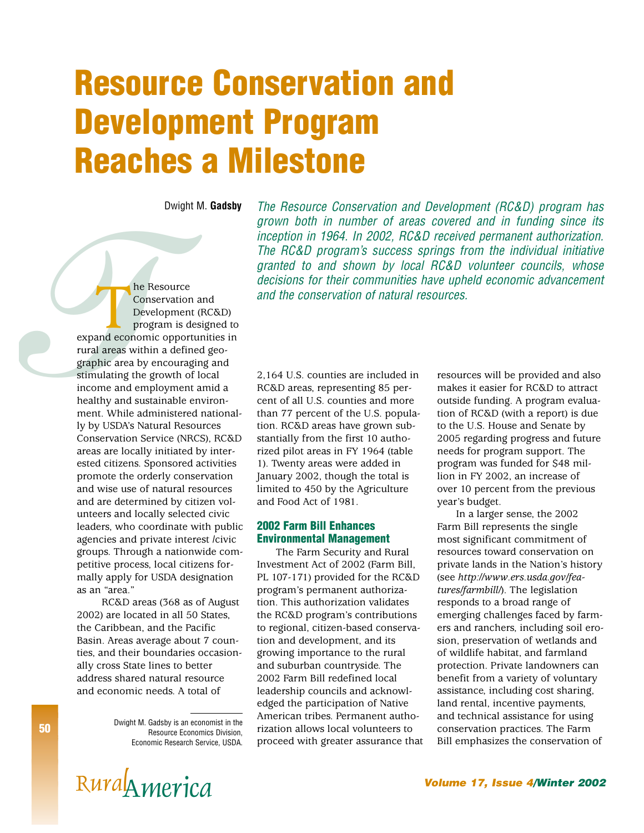# **Resource Conservation and Development Program Reaches a Milestone**

Dwight M. **Gadsby**

The Resource Conservation and Development (RC&D) program has grown both in number of areas covered and in funding since its inception in 1964. In 2002, RC&D received permanent authorization. The RC&D program's success springs from the individual initiative granted to and shown by local RC&D volunteer councils, whose decisions for their communities have upheld economic advancement and the conservation of natural resources.

**THE RESOURCE CONSERVATION**<br> **THE RESOURCE CONSERVATION**<br> **THE RESOURCE PROPERTING STATES AND A SURFADING STATE STATE STATE STATE STATE STATE STATE IN A SUSCILINE THAT A SURFADISTIC CONSERVATION STATE STATE SURFADISTIC (NR** Conservation and Development (RC&D) program is designed to expand economic opportunities in rural areas within a defined geographic area by encouraging and stimulating the growth of local income and employment amid a healthy and sustainable environment. While administered nationally by USDA's Natural Resources Conservation Service (NRCS), RC&D areas are locally initiated by interested citizens. Sponsored activities promote the orderly conservation and wise use of natural resources and are determined by citizen volunteers and locally selected civic leaders, who coordinate with public agencies and private interest /civic groups. Through a nationwide competitive process, local citizens formally apply for USDA designation as an "area."

RC&D areas (368 as of August 2002) are located in all 50 States, the Caribbean, and the Pacific Basin. Areas average about 7 counties, and their boundaries occasionally cross State lines to better address shared natural resource and economic needs. A total of

> Dwight M. Gadsby is an economist in the Resource Economics Division, Economic Research Service, USDA.

2,164 U.S. counties are included in RC&D areas, representing 85 percent of all U.S. counties and more than 77 percent of the U.S. population. RC&D areas have grown substantially from the first 10 authorized pilot areas in FY 1964 (table 1). Twenty areas were added in January 2002, though the total is limited to 450 by the Agriculture and Food Act of 1981.

## **2002 Farm Bill Enhances Environmental Management**

The Farm Security and Rural Investment Act of 2002 (Farm Bill, PL 107-171) provided for the RC&D program's permanent authorization. This authorization validates the RC&D program's contributions to regional, citizen-based conservation and development, and its growing importance to the rural and suburban countryside. The 2002 Farm Bill redefined local leadership councils and acknowledged the participation of Native American tribes. Permanent authorization allows local volunteers to proceed with greater assurance that resources will be provided and also makes it easier for RC&D to attract outside funding. A program evaluation of RC&D (with a report) is due to the U.S. House and Senate by 2005 regarding progress and future needs for program support. The program was funded for \$48 million in FY 2002, an increase of over 10 percent from the previous year's budget.

In a larger sense, the 2002 Farm Bill represents the single most significant commitment of resources toward conservation on private lands in the Nation's history (see *http://www.ers.usda.gov/features/farmbill/*). The legislation responds to a broad range of emerging challenges faced by farmers and ranchers, including soil erosion, preservation of wetlands and of wildlife habitat, and farmland protection. Private landowners can benefit from a variety of voluntary assistance, including cost sharing, land rental, incentive payments, and technical assistance for using conservation practices. The Farm Bill emphasizes the conservation of

# RUYA<sup>METIC</sup>A **RUYA**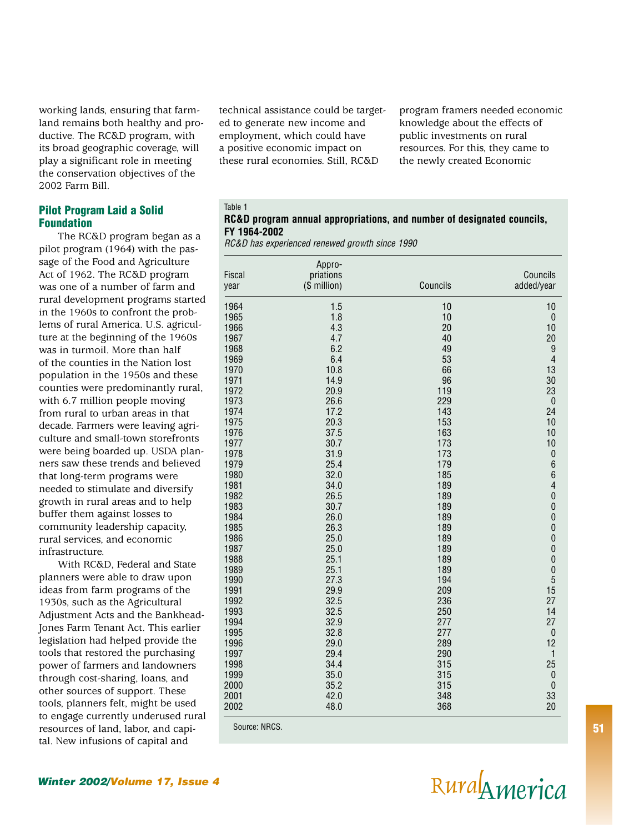working lands, ensuring that farmland remains both healthy and productive. The RC&D program, with its broad geographic coverage, will play a significant role in meeting the conservation objectives of the 2002 Farm Bill.

#### **Pilot Program Laid a Solid Foundation**

The RC&D program began as a pilot program (1964) with the passage of the Food and Agriculture Act of 1962. The RC&D program was one of a number of farm and rural development programs started in the 1960s to confront the problems of rural America. U.S. agriculture at the beginning of the 1960s was in turmoil. More than half of the counties in the Nation lost population in the 1950s and these counties were predominantly rural, with 6.7 million people moving from rural to urban areas in that decade. Farmers were leaving agriculture and small-town storefronts were being boarded up. USDA planners saw these trends and believed that long-term programs were needed to stimulate and diversify growth in rural areas and to help buffer them against losses to community leadership capacity, rural services, and economic infrastructure.

With RC&D, Federal and State planners were able to draw upon ideas from farm programs of the 1930s, such as the Agricultural Adjustment Acts and the Bankhead-Jones Farm Tenant Act. This earlier legislation had helped provide the tools that restored the purchasing power of farmers and landowners through cost-sharing, loans, and other sources of support. These tools, planners felt, might be used to engage currently underused rural resources of land, labor, and capital. New infusions of capital and

technical assistance could be targeted to generate new income and employment, which could have a positive economic impact on these rural economies. Still, RC&D

program framers needed economic knowledge about the effects of public investments on rural resources. For this, they came to the newly created Economic

#### Table 1 **RC&D program annual appropriations, and number of designated councils, FY 1964-2002**

RC&D has experienced renewed growth since 1990

| year         | (\$ million) | Councils   | Councils<br>added/year  |
|--------------|--------------|------------|-------------------------|
|              |              |            |                         |
| 1964         | 1.5          | 10         | 10                      |
| 1965         | 1.8          | 10         | $\pmb{0}$               |
| 1966         | 4.3          | 20         | 10                      |
| 1967         | 4.7          | 40         | 20                      |
| 1968         | 6.2          | 49         | 9                       |
| 1969<br>1970 | 6.4<br>10.8  | 53<br>66   | $\overline{4}$<br>13    |
| 1971         | 14.9         | 96         | 30                      |
| 1972         | 20.9         | 119        | 23                      |
| 1973         | 26.6         | 229        | $\boldsymbol{0}$        |
| 1974         | 17.2         | 143        | 24                      |
| 1975         | 20.3         | 153        | 10                      |
| 1976         | 37.5         | 163        | 10                      |
| 1977         | 30.7         | 173        | 10                      |
| 1978         | 31.9         | 173        | $\pmb{0}$               |
| 1979         | 25.4         | 179        | 6                       |
| 1980         | 32.0         | 185        | 6                       |
| 1981         | 34.0         | 189        | $\overline{\mathbf{r}}$ |
| 1982         | 26.5         | 189        | $\mathbf{0}$            |
| 1983         | 30.7         | 189        | $\pmb{0}$               |
| 1984         | 26.0         | 189        | $\mathbf{0}$            |
| 1985         | 26.3         | 189        | $\mathbf{0}$            |
| 1986         | 25.0         | 189        | $\mathbf{0}$            |
| 1987         | 25.0         | 189        | $\mathbf{0}$            |
| 1988         | 25.1         | 189        | $\pmb{0}$               |
| 1989         | 25.1         | 189        | $\mathbf{0}$            |
| 1990         | 27.3         | 194        | 5                       |
| 1991         | 29.9         | 209        | 15                      |
| 1992         | 32.5         | 236        | 27                      |
| 1993         | 32.5         | 250        | 14                      |
| 1994         | 32.9         | 277        | 27                      |
| 1995         | 32.8         | 277        | $\pmb{0}$               |
| 1996<br>1997 | 29.0<br>29.4 | 289<br>290 | 12<br>1                 |
| 1998         | 34.4         | 315        | 25                      |
| 1999         | 35.0         | 315        | $\boldsymbol{0}$        |
| 2000         | 35.2         | 315        | $\mathbf{0}$            |
| 2001         | 42.0         | 348        | 33                      |
| 2002         | 48.0         | 368        | 20                      |

Source: NRCS.



# **Winter 2002/Volume 17, Issue 4** RuralAmerica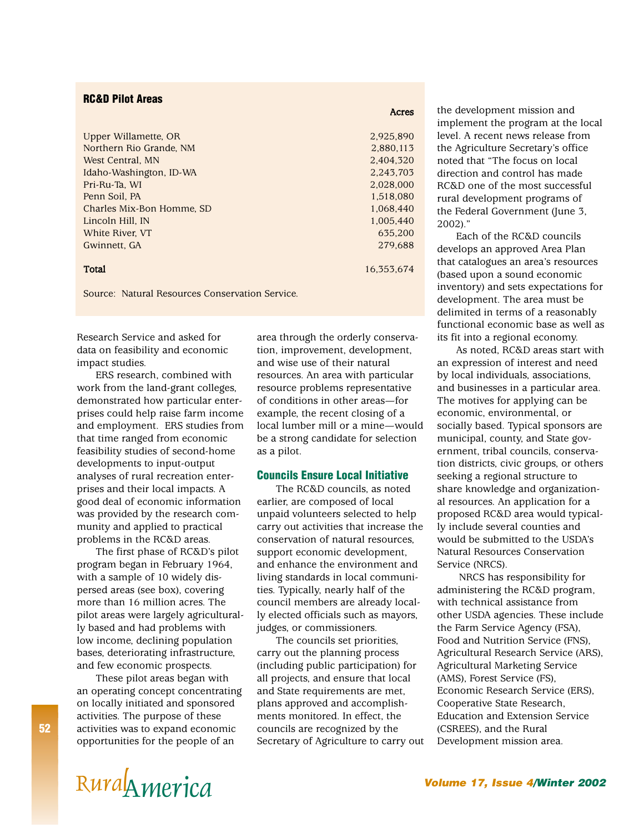## **RC&D Pilot Areas**

| 2,925,890  |
|------------|
| 2,880,113  |
| 2.404.320  |
| 2.243.703  |
| 2.028.000  |
| 1,518,080  |
| 1.068.440  |
| 1.005.440  |
| 635.200    |
| 279.688    |
| 16.353.674 |
|            |

Source: Natural Resources Conservation Service.

Research Service and asked for data on feasibility and economic impact studies.

ERS research, combined with work from the land-grant colleges, demonstrated how particular enterprises could help raise farm income and employment. ERS studies from that time ranged from economic feasibility studies of second-home developments to input-output analyses of rural recreation enterprises and their local impacts. A good deal of economic information was provided by the research community and applied to practical problems in the RC&D areas.

The first phase of RC&D's pilot program began in February 1964, with a sample of 10 widely dispersed areas (see box), covering more than 16 million acres. The pilot areas were largely agriculturally based and had problems with low income, declining population bases, deteriorating infrastructure, and few economic prospects.

These pilot areas began with an operating concept concentrating on locally initiated and sponsored activities. The purpose of these activities was to expand economic opportunities for the people of an

area through the orderly conservation, improvement, development, and wise use of their natural resources. An area with particular resource problems representative of conditions in other areas—for example, the recent closing of a local lumber mill or a mine—would be a strong candidate for selection as a pilot.

Acres

### **Councils Ensure Local Initiative**

The RC&D councils, as noted earlier, are composed of local unpaid volunteers selected to help carry out activities that increase the conservation of natural resources, support economic development, and enhance the environment and living standards in local communities. Typically, nearly half of the council members are already locally elected officials such as mayors, judges, or commissioners.

The councils set priorities, carry out the planning process (including public participation) for all projects, and ensure that local and State requirements are met, plans approved and accomplishments monitored. In effect, the councils are recognized by the Secretary of Agriculture to carry out

the development mission and implement the program at the local level. A recent news release from the Agriculture Secretary's office noted that "The focus on local direction and control has made RC&D one of the most successful rural development programs of the Federal Government (June 3, 2002)."

Each of the RC&D councils develops an approved Area Plan that catalogues an area's resources (based upon a sound economic inventory) and sets expectations for development. The area must be delimited in terms of a reasonably functional economic base as well as its fit into a regional economy.

As noted, RC&D areas start with an expression of interest and need by local individuals, associations, and businesses in a particular area. The motives for applying can be economic, environmental, or socially based. Typical sponsors are municipal, county, and State government, tribal councils, conservation districts, civic groups, or others seeking a regional structure to share knowledge and organizational resources. An application for a proposed RC&D area would typically include several counties and would be submitted to the USDA's Natural Resources Conservation Service (NRCS).

NRCS has responsibility for administering the RC&D program, with technical assistance from other USDA agencies. These include the Farm Service Agency (FSA), Food and Nutrition Service (FNS), Agricultural Research Service (ARS), Agricultural Marketing Service (AMS), Forest Service (FS), Economic Research Service (ERS), Cooperative State Research, Education and Extension Service (CSREES), and the Rural Development mission area.

# RUYA<sup>METIC</sup>A **RUYA**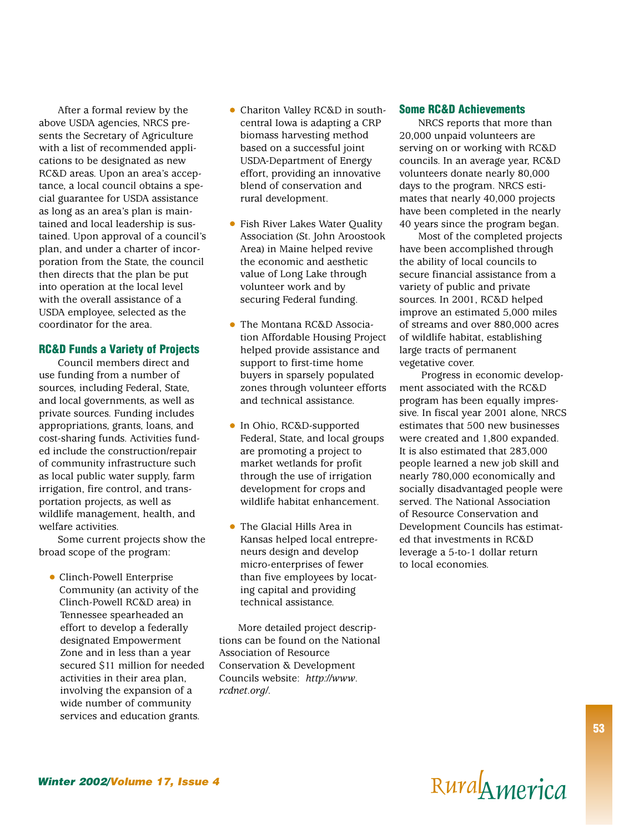After a formal review by the above USDA agencies, NRCS presents the Secretary of Agriculture with a list of recommended applications to be designated as new RC&D areas. Upon an area's acceptance, a local council obtains a special guarantee for USDA assistance as long as an area's plan is maintained and local leadership is sustained. Upon approval of a council's plan, and under a charter of incorporation from the State, the council then directs that the plan be put into operation at the local level with the overall assistance of a USDA employee, selected as the coordinator for the area.

### **RC&D Funds a Variety of Projects**

Council members direct and use funding from a number of sources, including Federal, State, and local governments, as well as private sources. Funding includes appropriations, grants, loans, and cost-sharing funds. Activities funded include the construction/repair of community infrastructure such as local public water supply, farm irrigation, fire control, and transportation projects, as well as wildlife management, health, and welfare activities.

Some current projects show the broad scope of the program:

Clinch-Powell Enterprise Community (an activity of the Clinch-Powell RC&D area) in Tennessee spearheaded an effort to develop a federally designated Empowerment Zone and in less than a year secured \$11 million for needed activities in their area plan, involving the expansion of a wide number of community services and education grants.

- Chariton Valley RC&D in southcentral Iowa is adapting a CRP biomass harvesting method based on a successful joint USDA-Department of Energy effort, providing an innovative blend of conservation and rural development.
- $\bullet$ Fish River Lakes Water Quality Association (St. John Aroostook Area) in Maine helped revive the economic and aesthetic value of Long Lake through volunteer work and by securing Federal funding.
- The Montana RC&D Association Affordable Housing Project helped provide assistance and support to first-time home buyers in sparsely populated zones through volunteer efforts and technical assistance.
- In Ohio, RC&D-supported Federal, State, and local groups are promoting a project to market wetlands for profit through the use of irrigation development for crops and wildlife habitat enhancement.
- The Glacial Hills Area in Kansas helped local entrepreneurs design and develop micro-enterprises of fewer than five employees by locating capital and providing technical assistance.

More detailed project descriptions can be found on the National Association of Resource Conservation & Development Councils website: *http://www. rcdnet.org/*.

#### **Some RC&D Achievements**

NRCS reports that more than 20,000 unpaid volunteers are serving on or working with RC&D councils. In an average year, RC&D volunteers donate nearly 80,000 days to the program. NRCS estimates that nearly 40,000 projects have been completed in the nearly 40 years since the program began.

Most of the completed projects have been accomplished through the ability of local councils to secure financial assistance from a variety of public and private sources. In 2001, RC&D helped improve an estimated 5,000 miles of streams and over 880,000 acres of wildlife habitat, establishing large tracts of permanent vegetative cover.

Progress in economic development associated with the RC&D program has been equally impressive. In fiscal year 2001 alone, NRCS estimates that 500 new businesses were created and 1,800 expanded. It is also estimated that 283,000 people learned a new job skill and nearly 780,000 economically and socially disadvantaged people were served. The National Association of Resource Conservation and Development Councils has estimated that investments in RC&D leverage a 5-to-1 dollar return to local economies.